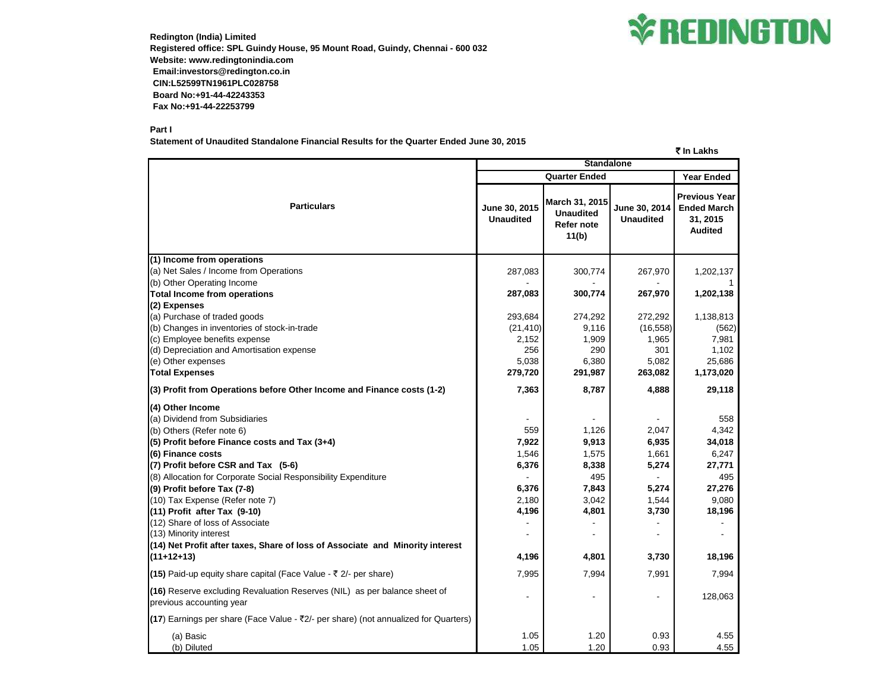

**Redington (India) Limited Registered office: SPL Guindy House, 95 Mount Road, Guindy, Chennai - 600 032 Website: www.redingtonindia.com Email:investors@redington.co.in CIN:L52599TN1961PLC028758 Board No:+91-44-42243353 Fax No:+91-44-22253799**

## **Part I**

**Statement of Unaudited Standalone Financial Results for the Quarter Ended June 30, 2015**

| ₹ In Lakhs                                                                                            |                                   |                                                           |                                   |                                                                          |  |
|-------------------------------------------------------------------------------------------------------|-----------------------------------|-----------------------------------------------------------|-----------------------------------|--------------------------------------------------------------------------|--|
|                                                                                                       |                                   | <b>Standalone</b>                                         |                                   |                                                                          |  |
|                                                                                                       | <b>Quarter Ended</b>              |                                                           |                                   | <b>Year Ended</b>                                                        |  |
| <b>Particulars</b>                                                                                    | June 30, 2015<br><b>Unaudited</b> | March 31, 2015<br><b>Unaudited</b><br>Refer note<br>11(b) | June 30, 2014<br><b>Unaudited</b> | <b>Previous Year</b><br><b>Ended March</b><br>31, 2015<br><b>Audited</b> |  |
| (1) Income from operations                                                                            |                                   |                                                           |                                   |                                                                          |  |
| (a) Net Sales / Income from Operations                                                                | 287,083                           | 300,774                                                   | 267,970                           | 1,202,137                                                                |  |
| (b) Other Operating Income                                                                            |                                   |                                                           |                                   |                                                                          |  |
| <b>Total Income from operations</b>                                                                   | 287,083                           | 300,774                                                   | 267,970                           | 1,202,138                                                                |  |
| (2) Expenses                                                                                          |                                   |                                                           |                                   |                                                                          |  |
| (a) Purchase of traded goods                                                                          | 293,684                           | 274,292                                                   | 272,292                           | 1,138,813                                                                |  |
| (b) Changes in inventories of stock-in-trade                                                          | (21, 410)                         | 9,116                                                     | (16, 558)                         | (562)                                                                    |  |
| (c) Employee benefits expense                                                                         | 2,152                             | 1,909                                                     | 1,965                             | 7,981                                                                    |  |
| (d) Depreciation and Amortisation expense                                                             | 256                               | 290                                                       | 301                               | 1,102                                                                    |  |
| (e) Other expenses                                                                                    | 5,038                             | 6,380                                                     | 5,082                             | 25,686                                                                   |  |
| <b>Total Expenses</b>                                                                                 | 279,720                           | 291,987                                                   | 263,082                           | 1,173,020                                                                |  |
| (3) Profit from Operations before Other Income and Finance costs (1-2)                                | 7,363                             | 8,787                                                     | 4,888                             | 29,118                                                                   |  |
| (4) Other Income                                                                                      |                                   |                                                           |                                   |                                                                          |  |
| (a) Dividend from Subsidiaries                                                                        |                                   | $\overline{\phantom{a}}$                                  | $\overline{\phantom{a}}$          | 558                                                                      |  |
| (b) Others (Refer note 6)                                                                             | 559                               | 1,126                                                     | 2,047                             | 4,342                                                                    |  |
| $(5)$ Profit before Finance costs and Tax $(3+4)$                                                     | 7,922                             | 9,913                                                     | 6,935                             | 34,018                                                                   |  |
| (6) Finance costs                                                                                     | 1,546                             | 1,575                                                     | 1,661                             | 6,247                                                                    |  |
| $(7)$ Profit before CSR and Tax $(5-6)$                                                               | 6,376                             | 8,338                                                     | 5,274                             | 27,771                                                                   |  |
| (8) Allocation for Corporate Social Responsibility Expenditure                                        |                                   | 495                                                       |                                   | 495                                                                      |  |
| (9) Profit before Tax (7-8)                                                                           | 6,376                             | 7,843                                                     | 5,274                             | 27,276                                                                   |  |
| (10) Tax Expense (Refer note 7)                                                                       | 2,180                             | 3,042                                                     | 1,544                             | 9,080                                                                    |  |
| (11) Profit after Tax (9-10)                                                                          | 4,196                             | 4,801                                                     | 3,730                             | 18,196                                                                   |  |
| (12) Share of loss of Associate                                                                       |                                   |                                                           | $\blacksquare$                    |                                                                          |  |
| (13) Minority interest                                                                                |                                   | $\overline{\phantom{a}}$                                  | $\overline{\phantom{a}}$          |                                                                          |  |
| (14) Net Profit after taxes, Share of loss of Associate and Minority interest                         |                                   |                                                           |                                   |                                                                          |  |
| $(11+12+13)$                                                                                          | 4,196                             | 4,801                                                     | 3,730                             | 18,196                                                                   |  |
| (15) Paid-up equity share capital (Face Value - $\bar{z}$ 2/- per share)                              | 7,995                             | 7,994                                                     | 7,991                             | 7,994                                                                    |  |
| (16) Reserve excluding Revaluation Reserves (NIL) as per balance sheet of<br>previous accounting year |                                   | $\overline{\phantom{a}}$                                  | $\blacksquare$                    | 128,063                                                                  |  |
| (17) Earnings per share (Face Value - $\overline{\zeta}2/-$ per share) (not annualized for Quarters)  |                                   |                                                           |                                   |                                                                          |  |
| (a) Basic                                                                                             | 1.05                              | 1.20                                                      | 0.93                              | 4.55                                                                     |  |
| (b) Diluted                                                                                           | 1.05                              | 1.20                                                      | 0.93                              | 4.55                                                                     |  |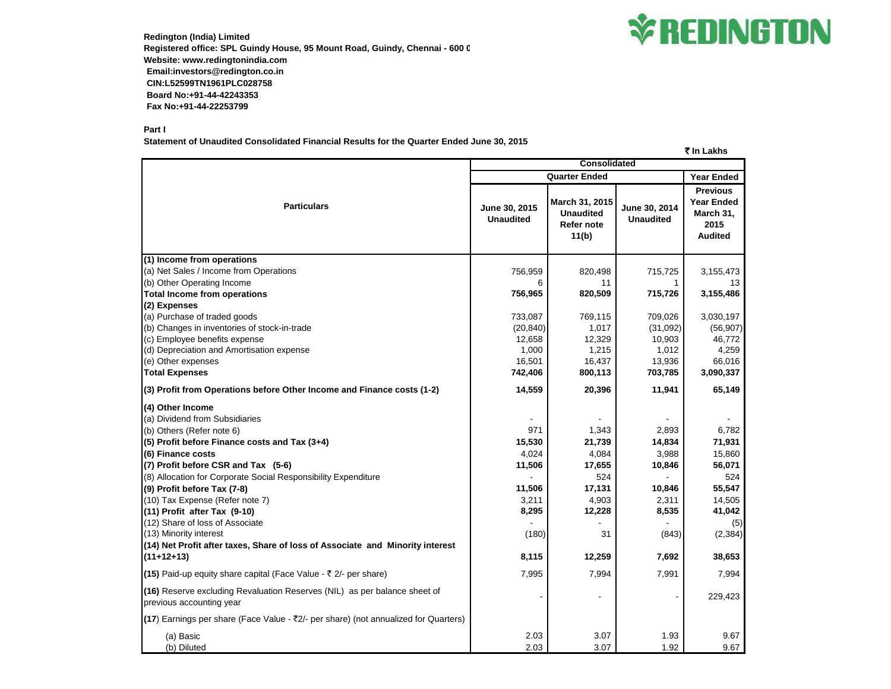

**Redington (India) Limited Registered office: SPL Guindy House, 95 Mount Road, Guindy, Chennai - 600 032 Website: www.redingtonindia.com Email:investors@redington.co.in CIN:L52599TN1961PLC028758 Board No:+91-44-42243353 Fax No:+91-44-22253799**

## **Part I**

**Statement of Unaudited Consolidated Financial Results for the Quarter Ended June 30, 2015**

` **In Lakhs Year Ended June 30, 2015 Unaudited March 31, 2015 Unaudited Refer note 11(b) June 30, 2014 Unaudited Previous Year Ended March 31, 2015 Audited (1) Income from operations** (a) Net Sales / Income from Operations 756,959 820,498 715,725 3,155,473 (b) Other Operating Income the contract of the contract of the contract of the contract of the contract of the contract of the contract of the contract of the contract of the contract of the contract of the contract of the **Total Income from operations 756,965 820,509 715,726 3,155,486 (2) Expenses** (a) Purchase of traded goods **733,087** 769,115 709,026 3,030,197 769,115 709,026 769,197 (b) Changes in inventories of stock-in-trade (20,840) 1,017 (31,092) (56,907) (c) Employee benefits expense 12,329 10,903 16,772 (d) Depreciation and Amortisation expense  $1,000$   $1,215$   $1,012$   $4,259$ (e) Other expenses 66,016 16,437 13,936 166,016 16,437 13,936 166,016 **Total Expenses 742,406 800,113 703,785 3,090,337 (3) Profit from Operations before Other Income and Finance costs (1-2) 14,559 20,396 11,941 65,149 (4) Other Income** (a) Dividend from Subsidiaries - - - - (b) Others (Refer note 6) 6.782 6.782 1,343 1,343 1,343 1,343 1,343 1,343 1,343 1,343 1,343 1,343 1,343 1,343 1,358 1,5782 1,5782 1,5782 1,5782 1,5782 1,5782 1,5782 1,5782 1,5782 1,5782 1,5782 1,5782 1,5782 1,5782 1,5782 1 **(5) Profit before Finance costs and Tax (3+4) 15,530 21,739 14,834 71,931 (6) Finance costs** 4.024 4.084 3.988 3.988 15.860 (7) Profit before CSR and Tax (5-6) **17,606** 17,655 10,846 10,846 56,071 (8) Allocation for Corporate Social Responsibility Expenditure  $524$   $-$  524 **(9) Profit before Tax (7-8) 11,506 17,131 10,846 55,547** (10) Tax Expense (Refer note 7) 3,211 4,903 2,311 14,505 **(11) Profit after Tax (9-10) 8,295 12,228 8,535 41,042** (12) Share of loss of Associate - - - (5) (13) Minority interest (180) 31 (2,384) (3,384) (3,384) (2,384) **(14) Net Profit after taxes, Share of loss of Associate and Minority interest (11+12+13) 8,115 12,259 7,692 38,653 (15)** Paid-up equity share capital (Face Value -  $\bar{\tau}$  2/- per share) 7,995 7,995 7,994 7,994 7,991 7,994 **(16)** Reserve excluding Revaluation Reserves (NIL) as per balance sheet of previous accounting year - - - 229,423 **(17)** Earnings per share (Face Value - ₹2/- per share) (not annualized for Quarters) (a) Basic 2.03 3.07 1.93 9.67 (b) Diluted 2.03 3.07 1.92 9.67 **Particulars Consolidated Quarter Ended**